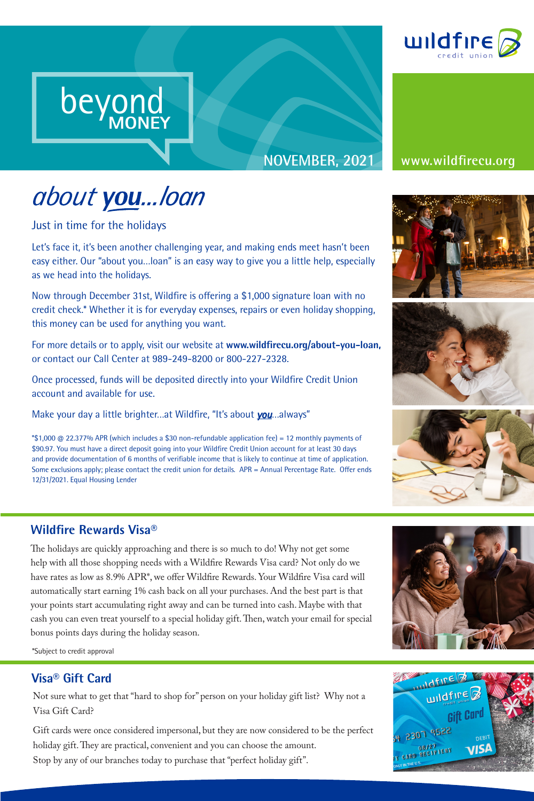

## **NOVEMBER, 2021 www.wildfirecu.org**

# about you...loan

beyond

**MONEY**

Just in time for the holidays

beyond beyond

MONEY

beyond MONEY

Let's face it, it's been another challenging year, and making ends meet hasn't been easy either. Our "about you…loan" is an easy way to give you a little help, especially as we head into the holidays.

Now through December 31st, Wildfire is offering a \$1,000 signature loan with no credit check.\* Whether it is for everyday expenses, repairs or even holiday shopping, this money can be used for anything you want.

For more details or to apply, visit our website at **www.wildfirecu.org/about-you-loan,** or contact our Call Center at 989-249-8200 or 800-227-2328.

Once processed, funds will be deposited directly into your Wildfire Credit Union account and available for use.

Make your day a little brighter…at Wildfire, "It's about *you*…always"

**MONEY**

\*\$1,000 @ 22.377% APR (which includes a \$30 non-refundable application fee) = 12 monthly payments of \$90.97. You must have a direct deposit going into your Wildfire Credit Union account for at least 30 days and provide documentation of 6 months of verifiable income that is likely to continue at time of application. Some exclusions apply; please contact the credit union for details. APR = Annual Percentage Rate. Offer ends 12/31/2021. Equal Housing Lender







### **Wildfire Rewards Visa®**

The holidays are quickly approaching and there is so much to do! Why not get some help with all those shopping needs with a Wildfire Rewards Visa card? Not only do we have rates as low as 8.9% APR\*, we offer Wildfire Rewards. Your Wildfire Visa card will automatically start earning 1% cash back on all your purchases. And the best part is that your points start accumulating right away and can be turned into cash. Maybe with that cash you can even treat yourself to a special holiday gift. Then, watch your email for special bonus points days during the holiday season.



\*Subject to credit approval

#### **Visa® Gift Card**

Not sure what to get that "hard to shop for" person on your holiday gift list? Why not a Visa Gift Card?

Gift cards were once considered impersonal, but they are now considered to be the perfect holiday gift. They are practical, convenient and you can choose the amount. Stop by any of our branches today to purchase that "perfect holiday gift".